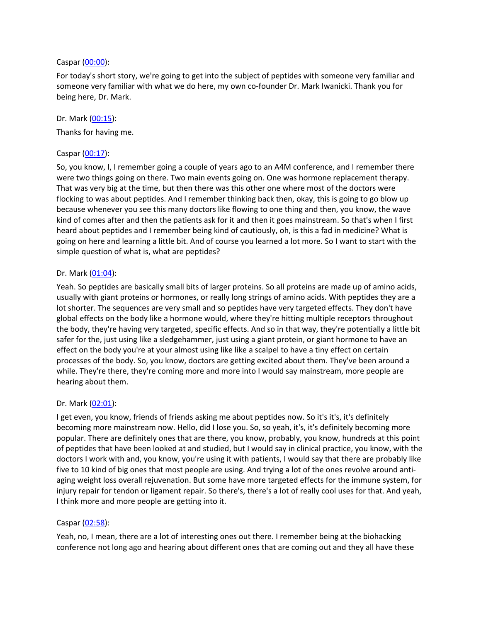#### Caspar [\(00:00](https://www.temi.com/editor/t/RI1sQteMapDRXGgYznwF8b89BOEgroPwW1pscikf4DU3MB2I2N2aKbGlrV4jekXljmK8oIvJzmD_SmaRSOau48-ehKA?loadFrom=DocumentDeeplink&ts=0.72)):

For today's short story, we're going to get into the subject of peptides with someone very familiar and someone very familiar with what we do here, my own co-founder Dr. Mark Iwanicki. Thank you for being here, Dr. Mark.

#### Dr. Mark [\(00:15](https://www.temi.com/editor/t/RI1sQteMapDRXGgYznwF8b89BOEgroPwW1pscikf4DU3MB2I2N2aKbGlrV4jekXljmK8oIvJzmD_SmaRSOau48-ehKA?loadFrom=DocumentDeeplink&ts=15.69)):

Thanks for having me.

## Caspar [\(00:17](https://www.temi.com/editor/t/RI1sQteMapDRXGgYznwF8b89BOEgroPwW1pscikf4DU3MB2I2N2aKbGlrV4jekXljmK8oIvJzmD_SmaRSOau48-ehKA?loadFrom=DocumentDeeplink&ts=17.28)):

So, you know, I, I remember going a couple of years ago to an A4M conference, and I remember there were two things going on there. Two main events going on. One was hormone replacement therapy. That was very big at the time, but then there was this other one where most of the doctors were flocking to was about peptides. And I remember thinking back then, okay, this is going to go blow up because whenever you see this many doctors like flowing to one thing and then, you know, the wave kind of comes after and then the patients ask for it and then it goes mainstream. So that's when I first heard about peptides and I remember being kind of cautiously, oh, is this a fad in medicine? What is going on here and learning a little bit. And of course you learned a lot more. So I want to start with the simple question of what is, what are peptides?

#### Dr. Mark [\(01:04](https://www.temi.com/editor/t/RI1sQteMapDRXGgYznwF8b89BOEgroPwW1pscikf4DU3MB2I2N2aKbGlrV4jekXljmK8oIvJzmD_SmaRSOau48-ehKA?loadFrom=DocumentDeeplink&ts=64.45)):

Yeah. So peptides are basically small bits of larger proteins. So all proteins are made up of amino acids, usually with giant proteins or hormones, or really long strings of amino acids. With peptides they are a lot shorter. The sequences are very small and so peptides have very targeted effects. They don't have global effects on the body like a hormone would, where they're hitting multiple receptors throughout the body, they're having very targeted, specific effects. And so in that way, they're potentially a little bit safer for the, just using like a sledgehammer, just using a giant protein, or giant hormone to have an effect on the body you're at your almost using like like a scalpel to have a tiny effect on certain processes of the body. So, you know, doctors are getting excited about them. They've been around a while. They're there, they're coming more and more into I would say mainstream, more people are hearing about them.

#### Dr. Mark [\(02:01](https://www.temi.com/editor/t/RI1sQteMapDRXGgYznwF8b89BOEgroPwW1pscikf4DU3MB2I2N2aKbGlrV4jekXljmK8oIvJzmD_SmaRSOau48-ehKA?loadFrom=DocumentDeeplink&ts=121.21)):

I get even, you know, friends of friends asking me about peptides now. So it's it's, it's definitely becoming more mainstream now. Hello, did I lose you. So, so yeah, it's, it's definitely becoming more popular. There are definitely ones that are there, you know, probably, you know, hundreds at this point of peptides that have been looked at and studied, but I would say in clinical practice, you know, with the doctors I work with and, you know, you're using it with patients, I would say that there are probably like five to 10 kind of big ones that most people are using. And trying a lot of the ones revolve around antiaging weight loss overall rejuvenation. But some have more targeted effects for the immune system, for injury repair for tendon or ligament repair. So there's, there's a lot of really cool uses for that. And yeah, I think more and more people are getting into it.

## Caspar [\(02:58](https://www.temi.com/editor/t/RI1sQteMapDRXGgYznwF8b89BOEgroPwW1pscikf4DU3MB2I2N2aKbGlrV4jekXljmK8oIvJzmD_SmaRSOau48-ehKA?loadFrom=DocumentDeeplink&ts=178.03)):

Yeah, no, I mean, there are a lot of interesting ones out there. I remember being at the biohacking conference not long ago and hearing about different ones that are coming out and they all have these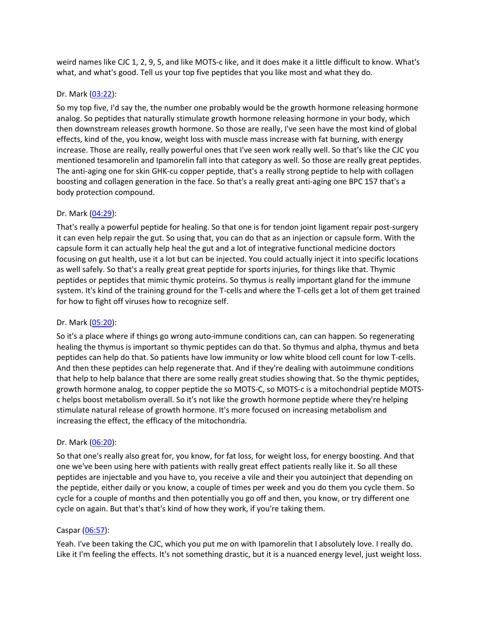weird names like CJC 1, 2, 9, 5, and like MOTS-c like, and it does make it a little difficult to know. What's what, and what's good. Tell us your top five peptides that you like most and what they do.

# Dr. Mark [\(03:22](https://www.temi.com/editor/t/RI1sQteMapDRXGgYznwF8b89BOEgroPwW1pscikf4DU3MB2I2N2aKbGlrV4jekXljmK8oIvJzmD_SmaRSOau48-ehKA?loadFrom=DocumentDeeplink&ts=202.21)):

So my top five, I'd say the, the number one probably would be the growth hormone releasing hormone analog. So peptides that naturally stimulate growth hormone releasing hormone in your body, which then downstream releases growth hormone. So those are really, I've seen have the most kind of global effects, kind of the, you know, weight loss with muscle mass increase with fat burning, with energy increase. Those are really, really powerful ones that I've seen work really well. So that's like the CJC you mentioned tesamorelin and Ipamorelin fall into that category as well. So those are really great peptides. The anti-aging one for skin GHK-cu copper peptide, that's a really strong peptide to help with collagen boosting and collagen generation in the face. So that's a really great anti-aging one BPC 157 that's a body protection compound.

# Dr. Mark [\(04:29](https://www.temi.com/editor/t/RI1sQteMapDRXGgYznwF8b89BOEgroPwW1pscikf4DU3MB2I2N2aKbGlrV4jekXljmK8oIvJzmD_SmaRSOau48-ehKA?loadFrom=DocumentDeeplink&ts=269.2)):

That's really a powerful peptide for healing. So that one is for tendon joint ligament repair post-surgery it can even help repair the gut. So using that, you can do that as an injection or capsule form. With the capsule form it can actually help heal the gut and a lot of integrative functional medicine doctors focusing on gut health, use it a lot but can be injected. You could actually inject it into specific locations as well safely. So that's a really great great peptide for sports injuries, for things like that. Thymic peptides or peptides that mimic thymic proteins. So thymus is really important gland for the immune system. It's kind of the training ground for the T-cells and where the T-cells get a lot of them get trained for how to fight off viruses how to recognize self.

## Dr. Mark [\(05:20](https://www.temi.com/editor/t/RI1sQteMapDRXGgYznwF8b89BOEgroPwW1pscikf4DU3MB2I2N2aKbGlrV4jekXljmK8oIvJzmD_SmaRSOau48-ehKA?loadFrom=DocumentDeeplink&ts=320.47)):

So it's a place where if things go wrong auto-immune conditions can, can can happen. So regenerating healing the thymus is important so thymic peptides can do that. So thymus and alpha, thymus and beta peptides can help do that. So patients have low immunity or low white blood cell count for low T-cells. And then these peptides can help regenerate that. And if they're dealing with autoimmune conditions that help to help balance that there are some really great studies showing that. So the thymic peptides, growth hormone analog, to copper peptide the so MOTS-C, so MOTS-c is a mitochondrial peptide MOTSc helps boost metabolism overall. So it's not like the growth hormone peptide where they're helping stimulate natural release of growth hormone. It's more focused on increasing metabolism and increasing the effect, the efficacy of the mitochondria.

## Dr. Mark [\(06:20](https://www.temi.com/editor/t/RI1sQteMapDRXGgYznwF8b89BOEgroPwW1pscikf4DU3MB2I2N2aKbGlrV4jekXljmK8oIvJzmD_SmaRSOau48-ehKA?loadFrom=DocumentDeeplink&ts=380.03)):

So that one's really also great for, you know, for fat loss, for weight loss, for energy boosting. And that one we've been using here with patients with really great effect patients really like it. So all these peptides are injectable and you have to, you receive a vile and their you autoinject that depending on the peptide, either daily or you know, a couple of times per week and you do them you cycle them. So cycle for a couple of months and then potentially you go off and then, you know, or try different one cycle on again. But that's that's kind of how they work, if you're taking them.

## Caspar [\(06:57](https://www.temi.com/editor/t/RI1sQteMapDRXGgYznwF8b89BOEgroPwW1pscikf4DU3MB2I2N2aKbGlrV4jekXljmK8oIvJzmD_SmaRSOau48-ehKA?loadFrom=DocumentDeeplink&ts=417.59)):

Yeah. I've been taking the CJC, which you put me on with Ipamorelin that I absolutely love. I really do. Like it I'm feeling the effects. It's not something drastic, but it is a nuanced energy level, just weight loss.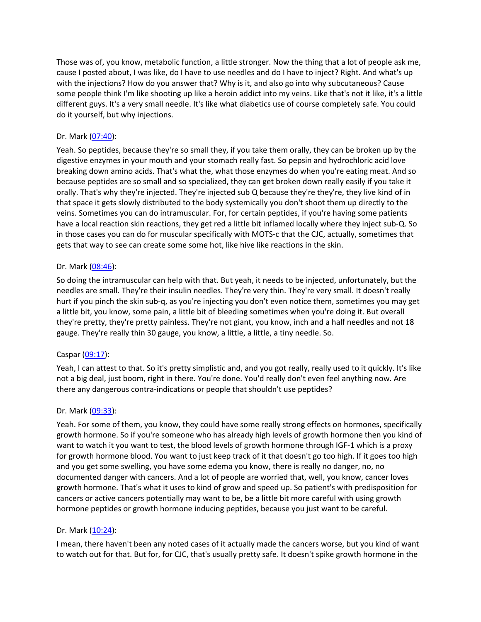Those was of, you know, metabolic function, a little stronger. Now the thing that a lot of people ask me, cause I posted about, I was like, do I have to use needles and do I have to inject? Right. And what's up with the injections? How do you answer that? Why is it, and also go into why subcutaneous? Cause some people think I'm like shooting up like a heroin addict into my veins. Like that's not it like, it's a little different guys. It's a very small needle. It's like what diabetics use of course completely safe. You could do it yourself, but why injections.

# Dr. Mark [\(07:40](https://www.temi.com/editor/t/RI1sQteMapDRXGgYznwF8b89BOEgroPwW1pscikf4DU3MB2I2N2aKbGlrV4jekXljmK8oIvJzmD_SmaRSOau48-ehKA?loadFrom=DocumentDeeplink&ts=460.46)):

Yeah. So peptides, because they're so small they, if you take them orally, they can be broken up by the digestive enzymes in your mouth and your stomach really fast. So pepsin and hydrochloric acid love breaking down amino acids. That's what the, what those enzymes do when you're eating meat. And so because peptides are so small and so specialized, they can get broken down really easily if you take it orally. That's why they're injected. They're injected sub Q because they're they're, they live kind of in that space it gets slowly distributed to the body systemically you don't shoot them up directly to the veins. Sometimes you can do intramuscular. For, for certain peptides, if you're having some patients have a local reaction skin reactions, they get red a little bit inflamed locally where they inject sub-Q. So in those cases you can do for muscular specifically with MOTS-c that the CJC, actually, sometimes that gets that way to see can create some some hot, like hive like reactions in the skin.

## Dr. Mark [\(08:46](https://www.temi.com/editor/t/RI1sQteMapDRXGgYznwF8b89BOEgroPwW1pscikf4DU3MB2I2N2aKbGlrV4jekXljmK8oIvJzmD_SmaRSOau48-ehKA?loadFrom=DocumentDeeplink&ts=526.58)):

So doing the intramuscular can help with that. But yeah, it needs to be injected, unfortunately, but the needles are small. They're their insulin needles. They're very thin. They're very small. It doesn't really hurt if you pinch the skin sub-q, as you're injecting you don't even notice them, sometimes you may get a little bit, you know, some pain, a little bit of bleeding sometimes when you're doing it. But overall they're pretty, they're pretty painless. They're not giant, you know, inch and a half needles and not 18 gauge. They're really thin 30 gauge, you know, a little, a little, a tiny needle. So.

## Caspar [\(09:17](https://www.temi.com/editor/t/RI1sQteMapDRXGgYznwF8b89BOEgroPwW1pscikf4DU3MB2I2N2aKbGlrV4jekXljmK8oIvJzmD_SmaRSOau48-ehKA?loadFrom=DocumentDeeplink&ts=557.1)):

Yeah, I can attest to that. So it's pretty simplistic and, and you got really, really used to it quickly. It's like not a big deal, just boom, right in there. You're done. You'd really don't even feel anything now. Are there any dangerous contra-indications or people that shouldn't use peptides?

## Dr. Mark [\(09:33](https://www.temi.com/editor/t/RI1sQteMapDRXGgYznwF8b89BOEgroPwW1pscikf4DU3MB2I2N2aKbGlrV4jekXljmK8oIvJzmD_SmaRSOau48-ehKA?loadFrom=DocumentDeeplink&ts=573.58)):

Yeah. For some of them, you know, they could have some really strong effects on hormones, specifically growth hormone. So if you're someone who has already high levels of growth hormone then you kind of want to watch it you want to test, the blood levels of growth hormone through IGF-1 which is a proxy for growth hormone blood. You want to just keep track of it that doesn't go too high. If it goes too high and you get some swelling, you have some edema you know, there is really no danger, no, no documented danger with cancers. And a lot of people are worried that, well, you know, cancer loves growth hormone. That's what it uses to kind of grow and speed up. So patient's with predisposition for cancers or active cancers potentially may want to be, be a little bit more careful with using growth hormone peptides or growth hormone inducing peptides, because you just want to be careful.

## Dr. Mark [\(10:24](https://www.temi.com/editor/t/RI1sQteMapDRXGgYznwF8b89BOEgroPwW1pscikf4DU3MB2I2N2aKbGlrV4jekXljmK8oIvJzmD_SmaRSOau48-ehKA?loadFrom=DocumentDeeplink&ts=624.76)):

I mean, there haven't been any noted cases of it actually made the cancers worse, but you kind of want to watch out for that. But for, for CJC, that's usually pretty safe. It doesn't spike growth hormone in the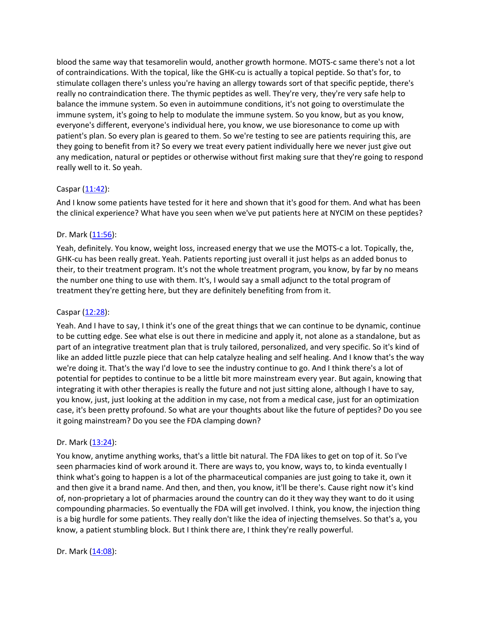blood the same way that tesamorelin would, another growth hormone. MOTS-c same there's not a lot of contraindications. With the topical, like the GHK-cu is actually a topical peptide. So that's for, to stimulate collagen there's unless you're having an allergy towards sort of that specific peptide, there's really no contraindication there. The thymic peptides as well. They're very, they're very safe help to balance the immune system. So even in autoimmune conditions, it's not going to overstimulate the immune system, it's going to help to modulate the immune system. So you know, but as you know, everyone's different, everyone's individual here, you know, we use bioresonance to come up with patient's plan. So every plan is geared to them. So we're testing to see are patients requiring this, are they going to benefit from it? So every we treat every patient individually here we never just give out any medication, natural or peptides or otherwise without first making sure that they're going to respond really well to it. So yeah.

## Caspar  $(11:42)$  $(11:42)$ :

And I know some patients have tested for it here and shown that it's good for them. And what has been the clinical experience? What have you seen when we've put patients here at NYCIM on these peptides?

## Dr. Mark [\(11:56](https://www.temi.com/editor/t/RI1sQteMapDRXGgYznwF8b89BOEgroPwW1pscikf4DU3MB2I2N2aKbGlrV4jekXljmK8oIvJzmD_SmaRSOau48-ehKA?loadFrom=DocumentDeeplink&ts=716.57)):

Yeah, definitely. You know, weight loss, increased energy that we use the MOTS-c a lot. Topically, the, GHK-cu has been really great. Yeah. Patients reporting just overall it just helps as an added bonus to their, to their treatment program. It's not the whole treatment program, you know, by far by no means the number one thing to use with them. It's, I would say a small adjunct to the total program of treatment they're getting here, but they are definitely benefiting from from it.

# Caspar [\(12:28](https://www.temi.com/editor/t/RI1sQteMapDRXGgYznwF8b89BOEgroPwW1pscikf4DU3MB2I2N2aKbGlrV4jekXljmK8oIvJzmD_SmaRSOau48-ehKA?loadFrom=DocumentDeeplink&ts=748.4)):

Yeah. And I have to say, I think it's one of the great things that we can continue to be dynamic, continue to be cutting edge. See what else is out there in medicine and apply it, not alone as a standalone, but as part of an integrative treatment plan that is truly tailored, personalized, and very specific. So it's kind of like an added little puzzle piece that can help catalyze healing and self healing. And I know that's the way we're doing it. That's the way I'd love to see the industry continue to go. And I think there's a lot of potential for peptides to continue to be a little bit more mainstream every year. But again, knowing that integrating it with other therapies is really the future and not just sitting alone, although I have to say, you know, just, just looking at the addition in my case, not from a medical case, just for an optimization case, it's been pretty profound. So what are your thoughts about like the future of peptides? Do you see it going mainstream? Do you see the FDA clamping down?

## Dr. Mark [\(13:24](https://www.temi.com/editor/t/RI1sQteMapDRXGgYznwF8b89BOEgroPwW1pscikf4DU3MB2I2N2aKbGlrV4jekXljmK8oIvJzmD_SmaRSOau48-ehKA?loadFrom=DocumentDeeplink&ts=804.95)):

You know, anytime anything works, that's a little bit natural. The FDA likes to get on top of it. So I've seen pharmacies kind of work around it. There are ways to, you know, ways to, to kinda eventually I think what's going to happen is a lot of the pharmaceutical companies are just going to take it, own it and then give it a brand name. And then, and then, you know, it'll be there's. Cause right now it's kind of, non-proprietary a lot of pharmacies around the country can do it they way they want to do it using compounding pharmacies. So eventually the FDA will get involved. I think, you know, the injection thing is a big hurdle for some patients. They really don't like the idea of injecting themselves. So that's a, you know, a patient stumbling block. But I think there are, I think they're really powerful.

Dr. Mark [\(14:08](https://www.temi.com/editor/t/RI1sQteMapDRXGgYznwF8b89BOEgroPwW1pscikf4DU3MB2I2N2aKbGlrV4jekXljmK8oIvJzmD_SmaRSOau48-ehKA?loadFrom=DocumentDeeplink&ts=848.21)):